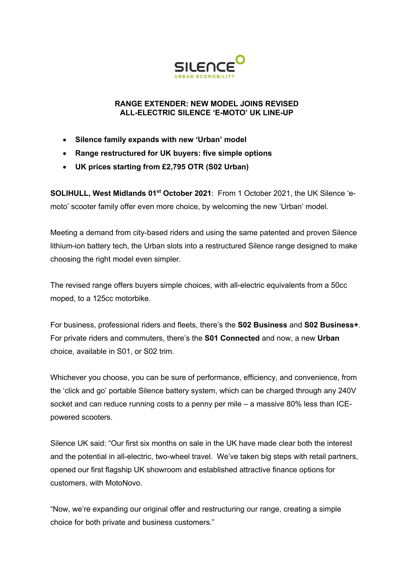

#### **RANGE EXTENDER: NEW MODEL JOINS REVISED ALL-ELECTRIC SILENCE 'E-MOTO' UK LINE-UP**

- **Silence family expands with new 'Urban' model**
- **Range restructured for UK buyers: five simple options**
- **UK prices starting from £2,795 OTR (S02 Urban)**

**SOLIHULL, West Midlands 01<sup>st</sup> October 2021:** From 1 October 2021, the UK Silence 'emoto' scooter family offer even more choice, by welcoming the new 'Urban' model.

Meeting a demand from city-based riders and using the same patented and proven Silence lithium-ion battery tech, the Urban slots into a restructured Silence range designed to make choosing the right model even simpler.

The revised range offers buyers simple choices, with all-electric equivalents from a 50cc moped, to a 125cc motorbike.

For business, professional riders and fleets, there's the **S02 Business** and **S02 Business+**. For private riders and commuters, there's the **S01 Connected** and now, a new **Urban** choice, available in S01, or S02 trim.

Whichever you choose, you can be sure of performance, efficiency, and convenience, from the 'click and go' portable Silence battery system, which can be charged through any 240V socket and can reduce running costs to a penny per mile – a massive 80% less than ICEpowered scooters.

Silence UK said: "Our first six months on sale in the UK have made clear both the interest and the potential in all-electric, two-wheel travel. We've taken big steps with retail partners, opened our first flagship UK showroom and established attractive finance options for customers, with MotoNovo.

"Now, we're expanding our original offer and restructuring our range, creating a simple choice for both private and business customers."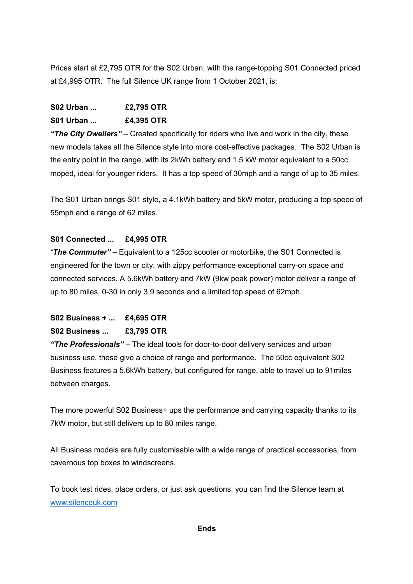Prices start at £2,795 OTR for the S02 Urban, with the range-topping S01 Connected priced at £4,995 OTR. The full Silence UK range from 1 October 2021, is:

## **S02 Urban ... £2,795 OTR S01 Urban ... £4,395 OTR**

*"The City Dwellers"* – Created specifically for riders who live and work in the city, these new models takes all the Silence style into more cost-effective packages. The S02 Urban is the entry point in the range, with its 2kWh battery and 1.5 kW motor equivalent to a 50cc moped, ideal for younger riders. It has a top speed of 30mph and a range of up to 35 miles.

The S01 Urban brings S01 style, a 4.1kWh battery and 5kW motor, producing a top speed of 55mph and a range of 62 miles.

### **S01 Connected ... £4,995 OTR**

*"The Commuter"* – Equivalent to a 125cc scooter or motorbike, the S01 Connected is engineered for the town or city, with zippy performance exceptional carry-on space and connected services. A 5.6kWh battery and 7kW (9kw peak power) motor deliver a range of up to 80 miles, 0-30 in only 3.9 seconds and a limited top speed of 62mph.

# **S02 Business + ... £4,695 OTR S02 Business ... £3,795 OTR**

*"The Professionals"* **–** The ideal tools for door-to-door delivery services and urban business use, these give a choice of range and performance. The 50cc equivalent S02 Business features a 5.6kWh battery, but configured for range, able to travel up to 91miles between charges.

The more powerful S02 Business+ ups the performance and carrying capacity thanks to its 7kW motor, but still delivers up to 80 miles range.

All Business models are fully customisable with a wide range of practical accessories, from cavernous top boxes to windscreens.

To book test rides, place orders, or just ask questions, you can find the Silence team at www.silenceuk.com